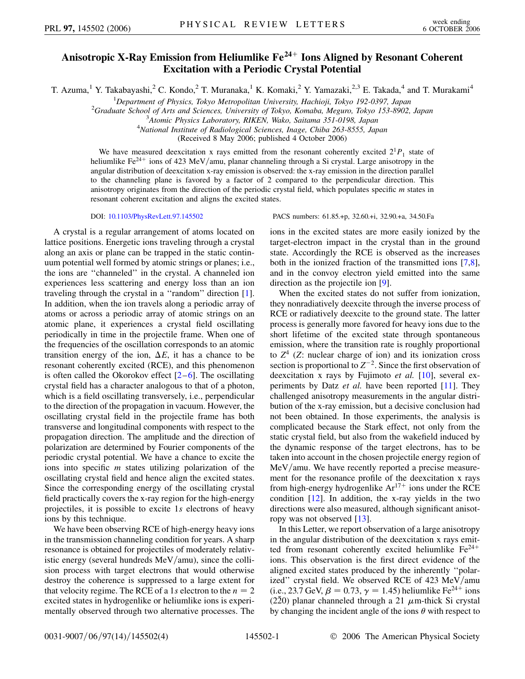## **Anisotropic X-Ray Emission from Heliumlike Fe<sup>24</sup> Ions Aligned by Resonant Coherent Excitation with a Periodic Crystal Potential**

T. Azuma,<sup>1</sup> Y. Takabayashi,<sup>2</sup> C. Kondo,<sup>2</sup> T. Muranaka,<sup>1</sup> K. Komaki,<sup>2</sup> Y. Yamazaki,<sup>2,3</sup> E. Takada,<sup>4</sup> and T. Murakami<sup>4</sup>

<sup>1</sup> Department of Physics, Tokyo Metropolitan University, Hachioji, Tokyo 192-0397, Japan<br><sup>2</sup> Graduate School of Arts and Sciences, University of Tokyo, Komaha, Maguro, Tokyo 153,8002

*Graduate School of Arts and Sciences, University of Tokyo, Komaba, Meguro, Tokyo 153-8902, Japan* <sup>3</sup>

*Atomic Physics Laboratory, RIKEN, Wako, Saitama 351-0198, Japan* <sup>4</sup>

*National Institute of Radiological Sciences, Inage, Chiba 263-8555, Japan*

(Received 8 May 2006; published 4 October 2006)

We have measured deexcitation x rays emitted from the resonant coherently excited  $2^1P_1$  state of heliumlike Fe<sup>24+</sup> ions of 423 MeV/amu, planar channeling through a Si crystal. Large anisotropy in the angular distribution of deexcitation x-ray emission is observed: the x-ray emission in the direction parallel to the channeling plane is favored by a factor of 2 compared to the perpendicular direction. This anisotropy originates from the direction of the periodic crystal field, which populates specific *m* states in resonant coherent excitation and aligns the excited states.

A crystal is a regular arrangement of atoms located on lattice positions. Energetic ions traveling through a crystal along an axis or plane can be trapped in the static continuum potential well formed by atomic strings or planes; i.e., the ions are ''channeled'' in the crystal. A channeled ion experiences less scattering and energy loss than an ion traveling through the crystal in a ''random'' direction [[1\]](#page-3-0). In addition, when the ion travels along a periodic array of atoms or across a periodic array of atomic strings on an atomic plane, it experiences a crystal field oscillating periodically in time in the projectile frame. When one of the frequencies of the oscillation corresponds to an atomic transition energy of the ion,  $\Delta E$ , it has a chance to be resonant coherently excited (RCE), and this phenomenon is often called the Okorokov effect  $[2-6]$  $[2-6]$  $[2-6]$ . The oscillating crystal field has a character analogous to that of a photon, which is a field oscillating transversely, i.e., perpendicular to the direction of the propagation in vacuum. However, the oscillating crystal field in the projectile frame has both transverse and longitudinal components with respect to the propagation direction. The amplitude and the direction of polarization are determined by Fourier components of the periodic crystal potential. We have a chance to excite the ions into specific *m* states utilizing polarization of the oscillating crystal field and hence align the excited states. Since the corresponding energy of the oscillating crystal field practically covers the x-ray region for the high-energy projectiles, it is possible to excite 1*s* electrons of heavy ions by this technique.

We have been observing RCE of high-energy heavy ions in the transmission channeling condition for years. A sharp resonance is obtained for projectiles of moderately relativistic energy (several hundreds MeV/amu), since the collision process with target electrons that would otherwise destroy the coherence is suppressed to a large extent for that velocity regime. The RCE of a 1s electron to the  $n = 2$ excited states in hydrogenlike or heliumlike ions is experimentally observed through two alternative processes. The

DOI: [10.1103/PhysRevLett.97.145502](http://dx.doi.org/10.1103/PhysRevLett.97.145502) PACS numbers: 61.85.+p, 32.60.+i, 32.90.+a, 34.50.Fa

ions in the excited states are more easily ionized by the target-electron impact in the crystal than in the ground state. Accordingly the RCE is observed as the increases both in the ionized fraction of the transmitted ions [[7](#page-3-3),[8\]](#page-3-4), and in the convoy electron yield emitted into the same direction as the projectile ion [[9\]](#page-3-5).

When the excited states do not suffer from ionization, they nonradiatively deexcite through the inverse process of RCE or radiatively deexcite to the ground state. The latter process is generally more favored for heavy ions due to the short lifetime of the excited state through spontaneous emission, where the transition rate is roughly proportional to  $Z^4$  (*Z*: nuclear charge of ion) and its ionization cross section is proportional to  $Z^{-2}$ . Since the first observation of deexcitation x rays by Fujimoto *et al.* [[10](#page-3-6)], several experiments by Datz *et al.* have been reported [[11](#page-3-7)]. They challenged anisotropy measurements in the angular distribution of the x-ray emission, but a decisive conclusion had not been obtained. In those experiments, the analysis is complicated because the Stark effect, not only from the static crystal field, but also from the wakefield induced by the dynamic response of the target electrons, has to be taken into account in the chosen projectile energy region of MeV/amu. We have recently reported a precise measurement for the resonance profile of the deexcitation x rays from high-energy hydrogenlike  $Ar^{17+}$  ions under the RCE condition  $[12]$  $[12]$  $[12]$ . In addition, the x-ray yields in the two directions were also measured, although significant anisotropy was not observed [\[13](#page-3-9)].

In this Letter, we report observation of a large anisotropy in the angular distribution of the deexcitation x rays emitted from resonant coherently excited heliumlike  $Fe^{24+}$ ions. This observation is the first direct evidence of the aligned excited states produced by the inherently ''polarized" crystal field. We observed RCE of 423 MeV/amu  $(i.e., 23.7 \text{ GeV}, \beta = 0.73, \gamma = 1.45)$  heliumlike Fe<sup>24+</sup> ions (220) planar channeled through a 21  $\mu$ m-thick Si crystal by changing the incident angle of the ions  $\theta$  with respect to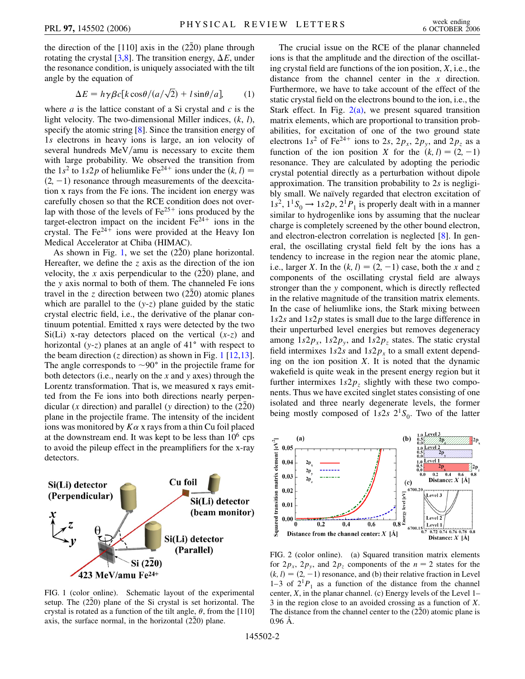the direction of the  $[110]$  axis in the  $(2\bar{2}0)$  plane through rotating the crystal  $[3,8]$  $[3,8]$  $[3,8]$  $[3,8]$  $[3,8]$ . The transition energy,  $\Delta E$ , under the resonance condition, is uniquely associated with the tilt angle by the equation of

$$
\Delta E = h\gamma \beta c[k\cos\theta/(a/\sqrt{2}) + l\sin\theta/a], \qquad (1)
$$

<span id="page-1-2"></span>where *a* is the lattice constant of a Si crystal and *c* is the light velocity. The two-dimensional Miller indices, (*k*, *l*), specify the atomic string [[8\]](#page-3-4). Since the transition energy of 1*s* electrons in heavy ions is large, an ion velocity of several hundreds MeV/amu is necessary to excite them with large probability. We observed the transition from the 1*s*<sup>2</sup> to 1*s*2*p* of heliumlike Fe<sup>24+</sup> ions under the  $(k, l)$  =  $(2, -1)$  resonance through measurements of the deexcitation x rays from the Fe ions. The incident ion energy was carefully chosen so that the RCE condition does not overlap with those of the levels of  $Fe^{25+}$  ions produced by the target-electron impact on the incident  $Fe<sup>24+</sup>$  ions in the crystal. The Fe<sup>24+</sup> ions were provided at the Heavy Ion Medical Accelerator at Chiba (HIMAC).

As shown in Fig. [1](#page-1-0), we set the  $(2\bar{2}0)$  plane horizontal. Hereafter, we define the *z* axis as the direction of the ion velocity, the *x* axis perpendicular to the  $(2\bar{2}0)$  plane, and the *y* axis normal to both of them. The channeled Fe ions travel in the  $z$  direction between two  $(2\bar{2}0)$  atomic planes which are parallel to the (*y*-*z*) plane guided by the static crystal electric field, i.e., the derivative of the planar continuum potential. Emitted x rays were detected by the two Si(Li) x-ray detectors placed on the vertical (*x*-*z*) and horizontal  $(y-z)$  planes at an angle of  $41^\circ$  with respect to the beam direction ( $\zeta$  direction) as shown in Fig. [1](#page-1-0) [\[12,](#page-3-8)[13\]](#page-3-9). The angle corresponds to  $\sim 90^\circ$  in the projectile frame for both detectors (i.e., nearly on the *x* and *y* axes) through the Lorentz transformation. That is, we measured x rays emitted from the Fe ions into both directions nearly perpendicular (*x* direction) and parallel (*y* direction) to the  $(2\bar{2}0)$ plane in the projectile frame. The intensity of the incident ions was monitored by  $K\alpha$  x rays from a thin Cu foil placed at the downstream end. It was kept to be less than  $10<sup>6</sup>$  cps to avoid the pileup effect in the preamplifiers for the x-ray detectors.

<span id="page-1-0"></span>

FIG. 1 (color online). Schematic layout of the experimental setup. The  $(2\bar{2}0)$  plane of the Si crystal is set horizontal. The crystal is rotated as a function of the tilt angle,  $\theta$ , from the [110] axis, the surface normal, in the horizontal  $(2\bar{2}0)$  plane.

The crucial issue on the RCE of the planar channeled ions is that the amplitude and the direction of the oscillating crystal field are functions of the ion position, *X*, i.e., the distance from the channel center in the *x* direction. Furthermore, we have to take account of the effect of the static crystal field on the electrons bound to the ion, i.e., the Stark effect. In Fig.  $2(a)$ , we present squared transition matrix elements, which are proportional to transition probabilities, for excitation of one of the two ground state electrons  $1s^2$  of Fe<sup>24+</sup> ions to 2*s*, 2 $p_x$ , 2 $p_y$ , and 2 $p_z$  as a function of the ion position *X* for the  $(k, l) = (2, -1)$ resonance. They are calculated by adopting the periodic crystal potential directly as a perturbation without dipole approximation. The transition probability to 2*s* is negligibly small. We naïvely regarded that electron excitation of  $1s^2$ ,  $1^1S_0 \rightarrow 1s2p$ ,  $2^1P_1$  is properly dealt with in a manner similar to hydrogenlike ions by assuming that the nuclear charge is completely screened by the other bound electron, and electron-electron correlation is neglected [[8\]](#page-3-4). In general, the oscillating crystal field felt by the ions has a tendency to increase in the region near the atomic plane, i.e., larger *X*. In the  $(k, l) = (2, -1)$  case, both the *x* and *z* components of the oscillating crystal field are always stronger than the *y* component, which is directly reflected in the relative magnitude of the transition matrix elements. In the case of heliumlike ions, the Stark mixing between 1*s*2*s* and 1*s*2*p* states is small due to the large difference in their unperturbed level energies but removes degeneracy among  $1s2p_x$ ,  $1s2p_y$ , and  $1s2p_z$  states. The static crystal field intermixes  $1s2s$  and  $1s2p_x$  to a small extent depending on the ion position *X*. It is noted that the dynamic wakefield is quite weak in the present energy region but it further intermixes  $1s2p<sub>z</sub>$  slightly with these two components. Thus we have excited singlet states consisting of one isolated and three nearly degenerate levels, the former being mostly composed of  $1s2s$   $2<sup>1</sup>S<sub>0</sub>$ . Two of the latter



<span id="page-1-1"></span>FIG. 2 (color online). (a) Squared transition matrix elements for  $2p_x$ ,  $2p_y$ , and  $2p_z$  components of the  $n = 2$  states for the  $(k, l) = (2, -1)$  resonance, and (b) their relative fraction in Level 1–3 of  $2^1P_1$  as a function of the distance from the channel center, *X*, in the planar channel. (c) Energy levels of the Level 1– 3 in the region close to an avoided crossing as a function of *X*. The distance from the channel center to the  $(2\bar{2}0)$  atomic plane is  $0.96 A$ .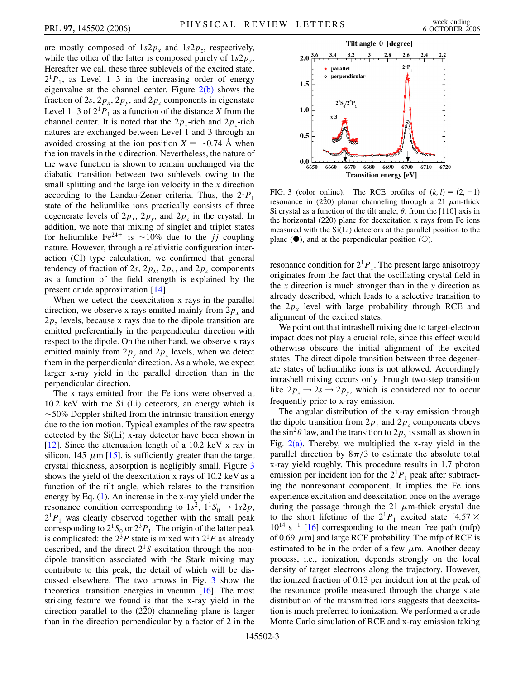are mostly composed of  $1s2p_x$  and  $1s2p_z$ , respectively, while the other of the latter is composed purely of  $1s2p_y$ . Hereafter we call these three sublevels of the excited state,  $2^{1}P_{1}$ , as Level 1–3 in the increasing order of energy eigenvalue at the channel center. Figure  $2(b)$  shows the fraction of 2*s*,  $2p_x$ ,  $2p_y$ , and  $2p_z$  components in eigenstate Level 1–3 of  $2^1P_1$  as a function of the distance *X* from the channel center. It is noted that the  $2p_x$ -rich and  $2p_z$ -rich natures are exchanged between Level 1 and 3 through an avoided crossing at the ion position  $X = \sim 0.74$  Å when the ion travels in the *x* direction. Nevertheless, the nature of the wave function is shown to remain unchanged via the diabatic transition between two sublevels owing to the small splitting and the large ion velocity in the *x* direction according to the Landau-Zener criteria. Thus, the  $2^1P_1$ state of the heliumlike ions practically consists of three degenerate levels of  $2p_x$ ,  $2p_y$ , and  $2p_z$  in the crystal. In addition, we note that mixing of singlet and triplet states for heliumlike Fe<sup>24+</sup> is  $\sim$ 10% due to the *jj* coupling nature. However, through a relativistic configuration interaction (CI) type calculation, we confirmed that general tendency of fraction of 2*s*,  $2p_x$ ,  $2p_y$ , and  $2p_z$  components as a function of the field strength is explained by the present crude approximation [\[14\]](#page-3-11).

When we detect the deexcitation x rays in the parallel direction, we observe x rays emitted mainly from  $2p_x$  and  $2p<sub>z</sub>$  levels, because x rays due to the dipole transition are emitted preferentially in the perpendicular direction with respect to the dipole. On the other hand, we observe x rays emitted mainly from  $2p_y$  and  $2p_z$  levels, when we detect them in the perpendicular direction. As a whole, we expect larger x-ray yield in the parallel direction than in the perpendicular direction.

The x rays emitted from the Fe ions were observed at 10.2 keV with the Si (Li) detectors, an energy which is  $\sim$  50% Doppler shifted from the intrinsic transition energy due to the ion motion. Typical examples of the raw spectra detected by the Si(Li) x-ray detector have been shown in [\[12\]](#page-3-8). Since the attenuation length of a 10.2 keV x ray in silicon, 145  $\mu$ m [[15](#page-3-12)], is sufficiently greater than the target crystal thickness, absorption is negligibly small. Figure [3](#page-2-0) shows the yield of the deexcitation x rays of 10.2 keV as a function of the tilt angle, which relates to the transition energy by Eq. ([1\)](#page-1-2). An increase in the x-ray yield under the resonance condition corresponding to  $1s^2$ ,  $1^1S_0 \rightarrow 1s2p$ ,  $2^{1}P_{1}$  was clearly observed together with the small peak corresponding to  $2^{1}S_0$  or  $2^{3}P_1$ . The origin of the latter peak is complicated: the  $2<sup>3</sup>P$  state is mixed with  $2<sup>1</sup>P$  as already described, and the direct 2<sup>1</sup>*S* excitation through the nondipole transition associated with the Stark mixing may contribute to this peak, the detail of which will be discussed elsewhere. The two arrows in Fig. [3](#page-2-0) show the theoretical transition energies in vacuum [[16](#page-3-13)]. The most striking feature we found is that the x-ray yield in the direction parallel to the  $(2\bar{2}0)$  channeling plane is larger than in the direction perpendicular by a factor of 2 in the

<span id="page-2-0"></span>

FIG. 3 (color online). The RCE profiles of  $(k, l) = (2, -1)$ resonance in (220) planar channeling through a 21  $\mu$ m-thick Si crystal as a function of the tilt angle,  $\theta$ , from the [110] axis in the horizontal  $(2\bar{2}0)$  plane for deexcitation x rays from Fe ions measured with the Si(Li) detectors at the parallel position to the plane  $(\bullet)$ , and at the perpendicular position  $(\circ)$ .

resonance condition for  $2^1P_1$ . The present large anisotropy originates from the fact that the oscillating crystal field in the *x* direction is much stronger than in the *y* direction as already described, which leads to a selective transition to the  $2p_x$  level with large probability through RCE and alignment of the excited states.

We point out that intrashell mixing due to target-electron impact does not play a crucial role, since this effect would otherwise obscure the initial alignment of the excited states. The direct dipole transition between three degenerate states of heliumlike ions is not allowed. Accordingly intrashell mixing occurs only through two-step transition like  $2p_x \rightarrow 2s \rightarrow 2p_y$ , which is considered not to occur frequently prior to x-ray emission.

The angular distribution of the x-ray emission through the dipole transition from  $2p_x$  and  $2p_z$  components obeys the sin<sup>2</sup> $\theta$  law, and the transition to  $2p_y$  is small as shown in Fig.  $2(a)$ . Thereby, we multiplied the x-ray yield in the parallel direction by  $8\pi/3$  to estimate the absolute total x-ray yield roughly. This procedure results in 1.7 photon emission per incident ion for the  $2^{1}P_{1}$  peak after subtracting the nonresonant component. It implies the Fe ions experience excitation and deexcitation once on the average during the passage through the 21  $\mu$ m-thick crystal due to the short lifetime of the  $2^{1}P_1$  excited state  $[4.57 \times$  $10^{14}$  s<sup>-1</sup> [\[16\]](#page-3-13) corresponding to the mean free path (mfp) of 0.69  $\mu$ m] and large RCE probability. The mfp of RCE is estimated to be in the order of a few  $\mu$ m. Another decay process, i.e., ionization, depends strongly on the local density of target electrons along the trajectory. However, the ionized fraction of 0.13 per incident ion at the peak of the resonance profile measured through the charge state distribution of the transmitted ions suggests that deexcitation is much preferred to ionization. We performed a crude Monte Carlo simulation of RCE and x-ray emission taking